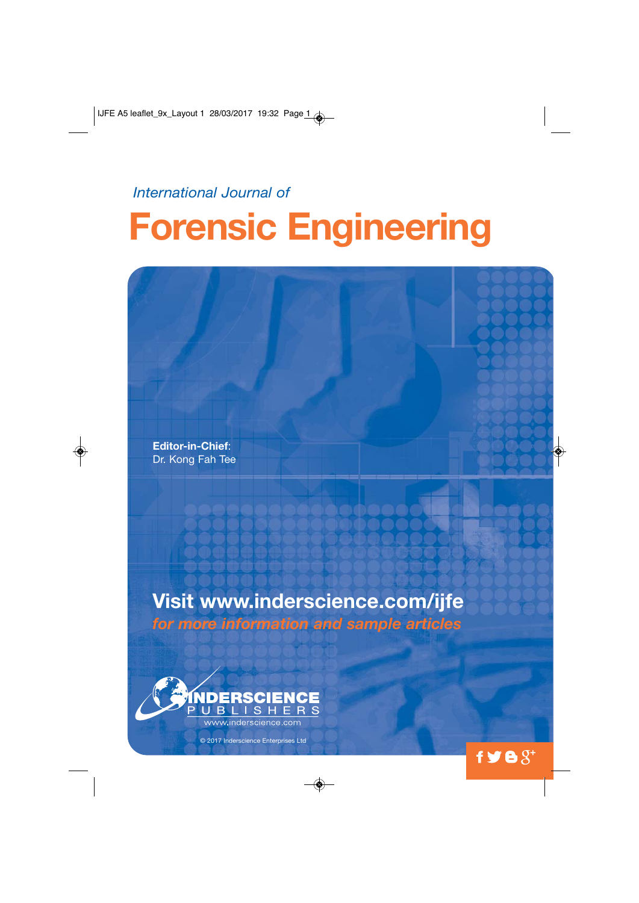### *International Journal of*

# **Forensic Engineering**

**Editor-in-Chief**: Dr. Kong Fah Tee

**Visit www.inderscience.com/ijfe** *for more information and sample articles*



© 2017 Inderscience Enterprises Ltd